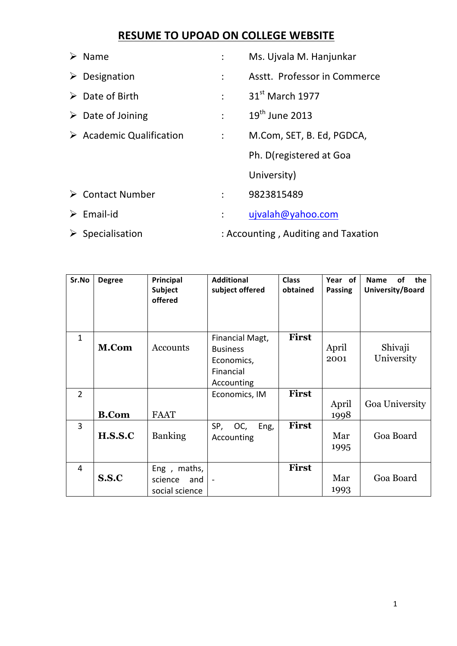# **RESUME TO UPOAD ON COLLEGE WEBSITE**

| $\triangleright$ Name                   |                      | Ms. Ujvala M. Hanjunkar             |
|-----------------------------------------|----------------------|-------------------------------------|
| $\triangleright$ Designation            | $\ddot{\cdot}$       | Asstt. Professor in Commerce        |
| $\triangleright$ Date of Birth          | $\ddot{\cdot}$       | 31 <sup>st</sup> March 1977         |
| $\triangleright$ Date of Joining        | $\ddot{\phantom{a}}$ | $19th$ June 2013                    |
| $\triangleright$ Academic Qualification | $\ddot{\cdot}$       | M.Com, SET, B. Ed, PGDCA,           |
|                                         |                      | Ph. D(registered at Goa             |
|                                         |                      | University)                         |
| $\triangleright$ Contact Number         | $\mathcal{L}$        | 9823815489                          |
| $\triangleright$ Email-id               |                      | ujvalah@yahoo.com                   |
| $\triangleright$ Specialisation         |                      | : Accounting, Auditing and Taxation |

| Sr.No          | <b>Degree</b> | Principal<br><b>Subject</b><br>offered             | <b>Additional</b><br>subject offered                                        | <b>Class</b><br>obtained | Year of<br><b>Passing</b>              | of<br>the<br><b>Name</b><br>University/Board |
|----------------|---------------|----------------------------------------------------|-----------------------------------------------------------------------------|--------------------------|----------------------------------------|----------------------------------------------|
| $\mathbf{1}$   | M.Com         | Accounts                                           | Financial Magt,<br><b>Business</b><br>Economics,<br>Financial<br>Accounting | <b>First</b>             | Shivaji<br>April<br>University<br>2001 |                                              |
| $\overline{2}$ | <b>B.Com</b>  | <b>FAAT</b>                                        | Economics, IM                                                               | <b>First</b>             | April<br>1998                          | Goa University                               |
| $\overline{3}$ | H.S.S.C       | <b>Banking</b>                                     | SP,<br>OC,<br>Eng,<br>Accounting                                            | <b>First</b>             | Mar<br>1995                            | Goa Board                                    |
| 4              | S.S.C         | maths,<br>Eng,<br>science<br>and<br>social science |                                                                             | <b>First</b>             | Mar<br>1993                            | Goa Board                                    |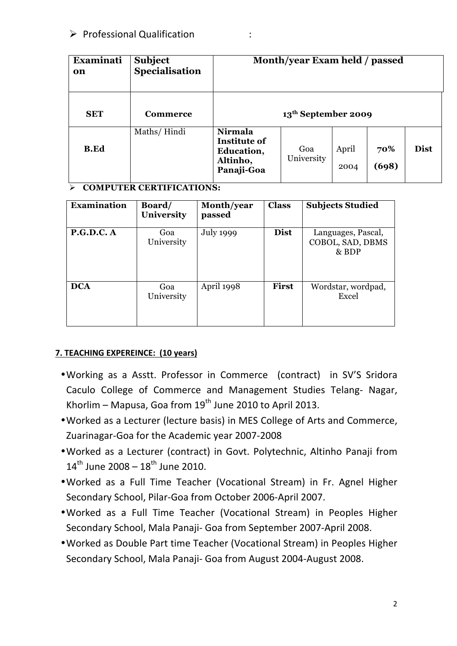| <b>Examinati</b><br>on | <b>Subject</b><br>Specialisation | Month/year Exam held / passed                                          |                                 |               |              |             |
|------------------------|----------------------------------|------------------------------------------------------------------------|---------------------------------|---------------|--------------|-------------|
| <b>SET</b>             | Commerce                         |                                                                        | 13 <sup>th</sup> September 2009 |               |              |             |
| <b>B.Ed</b>            | Maths/Hindi                      | Nirmala<br><b>Institute of</b><br>Education,<br>Altinho,<br>Panaji-Goa | Goa<br>University               | April<br>2004 | 70%<br>(698) | <b>Dist</b> |

## Ø **COMPUTER CERTIFICATIONS:**

| <b>Examination</b> | Board/<br>University | Month/year<br>passed | <b>Class</b> | <b>Subjects Studied</b>                         |
|--------------------|----------------------|----------------------|--------------|-------------------------------------------------|
| P.G.D.C. A         | Goa<br>University    | <b>July 1999</b>     | <b>Dist</b>  | Languages, Pascal,<br>COBOL, SAD, DBMS<br>& BDP |
| <b>DCA</b>         | Goa<br>University    | April 1998           | <b>First</b> | Wordstar, wordpad,<br>Excel                     |

## **7. TEACHING EXPEREINCE: (10 years)**

- Working as a Asstt. Professor in Commerce (contract) in SV'S Sridora Caculo College of Commerce and Management Studies Telang- Nagar, Khorlim – Mapusa, Goa from  $19<sup>th</sup>$  June 2010 to April 2013.
- Worked as a Lecturer (lecture basis) in MES College of Arts and Commerce, Zuarinagar-Goa for the Academic year 2007-2008
- Worked as a Lecturer (contract) in Govt. Polytechnic, Altinho Panaji from  $14^{th}$  June 2008 –  $18^{th}$  June 2010.
- Worked as a Full Time Teacher (Vocational Stream) in Fr. Agnel Higher Secondary School, Pilar-Goa from October 2006-April 2007.
- •Worked as a Full Time Teacher (Vocational Stream) in Peoples Higher Secondary School, Mala Panaji- Goa from September 2007-April 2008.
- Worked as Double Part time Teacher (Vocational Stream) in Peoples Higher Secondary School, Mala Panaji- Goa from August 2004-August 2008.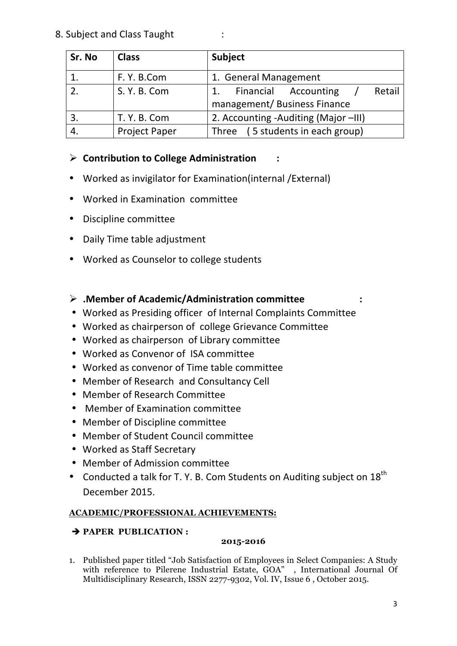8. Subject and Class Taught :

| Sr. No | <b>Class</b>         | <b>Subject</b>                                                       |  |  |
|--------|----------------------|----------------------------------------------------------------------|--|--|
|        | F. Y. B.Com          | 1. General Management                                                |  |  |
|        | S. Y. B. Com         | <b>Financial Accounting</b><br>Retail<br>management/Business Finance |  |  |
|        | T. Y. B. Com         | 2. Accounting - Auditing (Major -III)                                |  |  |
|        | <b>Project Paper</b> | Three (5 students in each group)                                     |  |  |

## Ø **Contribution to College Administration :**

- Worked as invigilator for Examination(internal / External)
- Worked in Examination committee
- Discipline committee
- Daily Time table adjustment
- Worked as Counselor to college students

## Ø **.Member of Academic/Administration committee :**

- Worked as Presiding officer of Internal Complaints Committee
- Worked as chairperson of college Grievance Committee
- Worked as chairperson of Library committee
- Worked as Convenor of ISA committee
- Worked as convenor of Time table committee
- Member of Research and Consultancy Cell
- Member of Research Committee
- Member of Examination committee
- Member of Discipline committee
- Member of Student Council committee
- Worked as Staff Secretary
- Member of Admission committee
- Conducted a talk for T. Y. B. Com Students on Auditing subject on  $18^{th}$ December 2015.

## **ACADEMIC/PROFESSIONAL ACHIEVEMENTS:**

## è **PAPER PUBLICATION :**

## **2015-2016**

1. Published paper titled "Job Satisfaction of Employees in Select Companies: A Study with reference to Pilerene Industrial Estate, GOA", International Journal Of Multidisciplinary Research, ISSN 2277-9302, Vol. IV, Issue 6 , October 2015.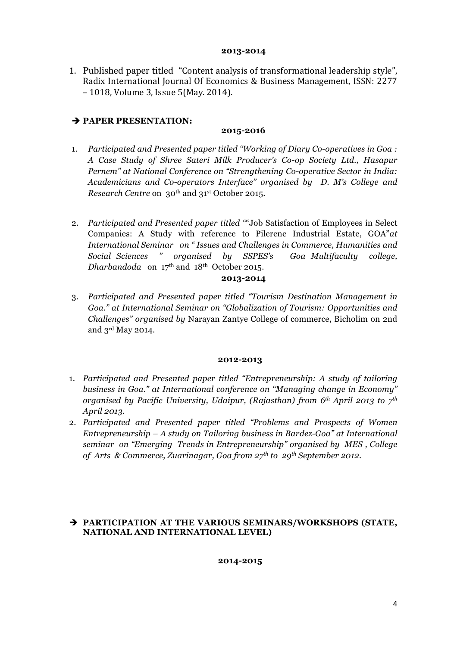#### **2013-2014**

1. Published paper titled "Content analysis of transformational leadership style", Radix International Journal Of Economics & Business Management, ISSN: 2277 – 1018, Volume 3, Issue 5(May. 2014).

## è **PAPER PRESENTATION:**

## **2015-2016**

- 1. *Participated and Presented paper titled "Working of Diary Co-operatives in Goa : A Case Study of Shree Sateri Milk Producer's Co-op Society Ltd., Hasapur Pernem" at National Conference on "Strengthening Co-operative Sector in India: Academicians and Co-operators Interface" organised by D. M's College and Research Centre* on 30<sup>th</sup> and 31<sup>st</sup> October 2015.
- 2. *Participated and Presented paper titled "*"Job Satisfaction of Employees in Select Companies: A Study with reference to Pilerene Industrial Estate, GOA"*at International Seminar on " Issues and Challenges in Commerce, Humanities and Social Sciences " organised by SSPES's Goa Multifaculty college, Dharbandoda* on 17th and 18th October 2015.

### **2013-2014**

3. *Participated and Presented paper titled "Tourism Destination Management in Goa." at International Seminar on "Globalization of Tourism: Opportunities and Challenges" organised by* Narayan Zantye College of commerce, Bicholim on 2nd and 3rd May 2014.

### **2012-2013**

- 1. *Participated and Presented paper titled "Entrepreneurship: A study of tailoring business in Goa." at International conference on "Managing change in Economy" organised by Pacific University, Udaipur, (Rajasthan) from 6th April 2013 to 7th April 2013.*
- 2. *Participated and Presented paper titled "Problems and Prospects of Women Entrepreneurship – A study on Tailoring business in Bardez-Goa" at International seminar on "Emerging Trends in Entrepreneurship" organised by MES , College of Arts & Commerce, Zuarinagar, Goa from 27th to 29th September 2012*.

### è **PARTICIPATION AT THE VARIOUS SEMINARS/WORKSHOPS (STATE, NATIONAL AND INTERNATIONAL LEVEL)**

### **2014-2015**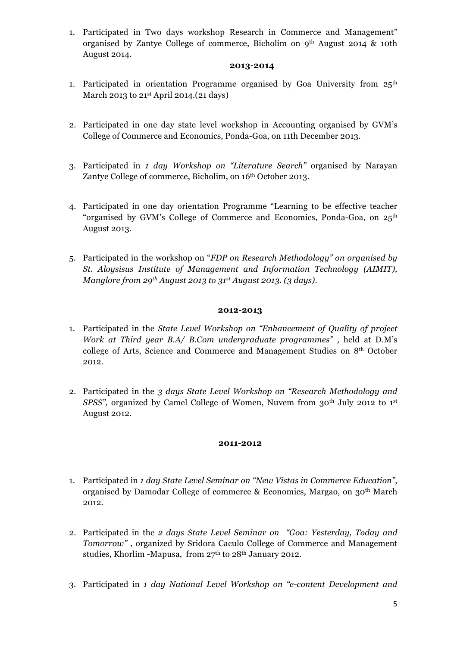1. Participated in Two days workshop Research in Commerce and Management" organised by Zantye College of commerce, Bicholim on 9th August 2014 & 10th August 2014.

### **2013-2014**

- 1. Participated in orientation Programme organised by Goa University from  $25<sup>th</sup>$ March 2013 to 21<sup>st</sup> April 2014.(21 days)
- 2. Participated in one day state level workshop in Accounting organised by GVM's College of Commerce and Economics, Ponda-Goa, on 11th December 2013.
- 3. Participated in *1 day Workshop on "Literature Search"* organised by Narayan Zantye College of commerce, Bicholim, on 16<sup>th</sup> October 2013.
- 4. Participated in one day orientation Programme "Learning to be effective teacher "organised by GVM's College of Commerce and Economics, Ponda-Goa, on 25th August 2013.
- 5. Participated in the workshop on "*FDP on Research Methodology" on organised by St. Aloysisus Institute of Management and Information Technology (AIMIT), Manglore from 29th August 2013 to 31st August 2013. (3 days)*.

### **2012-2013**

- 1. Participated in the *State Level Workshop on "Enhancement of Quality of project Work at Third year B.A/ B.Com undergraduate programmes"* , held at D.M's college of Arts, Science and Commerce and Management Studies on 8th October 2012.
- 2. Participated in the *3 days State Level Workshop on "Research Methodology and SPSS"*, organized by Camel College of Women, Nuvem from 30<sup>th</sup> July 2012 to 1<sup>st</sup> August 2012.

#### **2011-2012**

- 1. Participated in *1 day State Level Seminar on "New Vistas in Commerce Education"*, organised by Damodar College of commerce & Economics, Margao, on 30th March 2012.
- 2. Participated in the *2 days State Level Seminar on "Goa: Yesterday, Today and Tomorrow"* , organized by Sridora Caculo College of Commerce and Management studies, Khorlim -Mapusa, from 27th to 28th January 2012.
- 3. Participated in *1 day National Level Workshop on "e-content Development and*